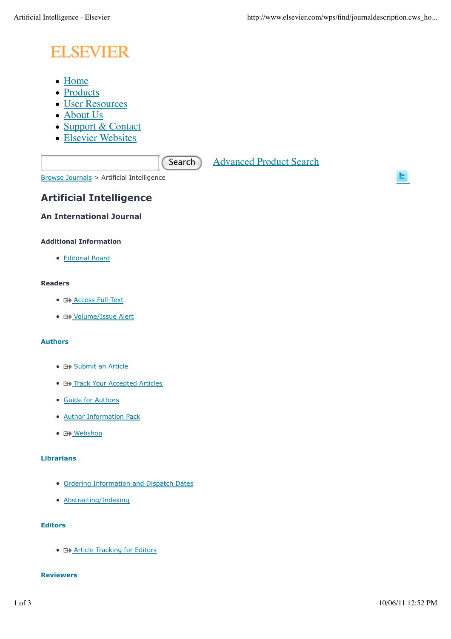# **ELSEVIER**

- Home
- Products
- User Resources
- About Us
- Support & Contact
- Elsevier Websites

Search Advanced Product Search

Browse Journals > Artificial Intelligence

# **Artificial Intelligence**

**An International Journal**

# **Additional Information**

Editorial Board

# **Readers**

- **E+ Access Full-Text**
- **H** Volume/Issue Alert

# **Authors**

- **E+ Submit an Article**
- **E+ Track Your Accepted Articles**
- Guide for Authors
- Author Information Pack
- 日<u>》Webshop</u>

# **Librarians**

- Ordering Information and Dispatch Dates
- Abstracting/Indexing

# **Editors**

**• E+ Article Tracking for Editors** 

# **Reviewers**

ы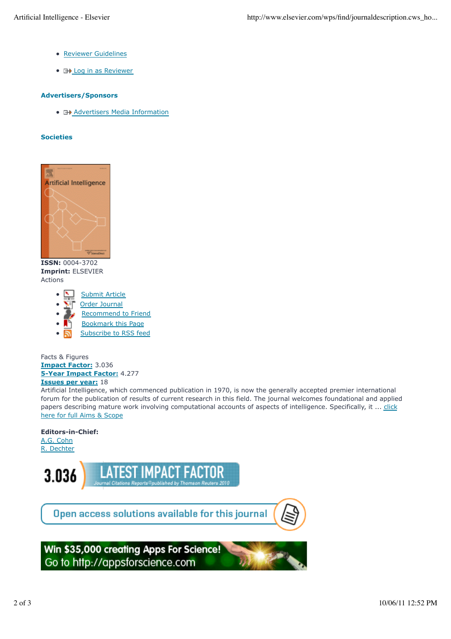- Reviewer Guidelines
- **E+** Log in as Reviewer

#### **Advertisers/Sponsors**

• **E+>** Advertisers Media Information

#### **Societies**



**ISSN:** 0004-3702 **Imprint:** ELSEVIER Actions

- Submit Article
- Order Journal
- Recommend to Friend
- Bookmark this Page
- Subscribe to RSS feed

Facts & Figures **Impact Factor:** 3.036 **5-Year Impact Factor:** 4.277 **Issues per year:** 18

Artificial Intelligence, which commenced publication in 1970, is now the generally accepted premier international forum for the publication of results of current research in this field. The journal welcomes foundational and applied papers describing mature work involving computational accounts of aspects of intelligence. Specifically, it ... click here for full Aims & Scope

# **Editors-in-Chief:**

A.G. Cohn R. Dechter